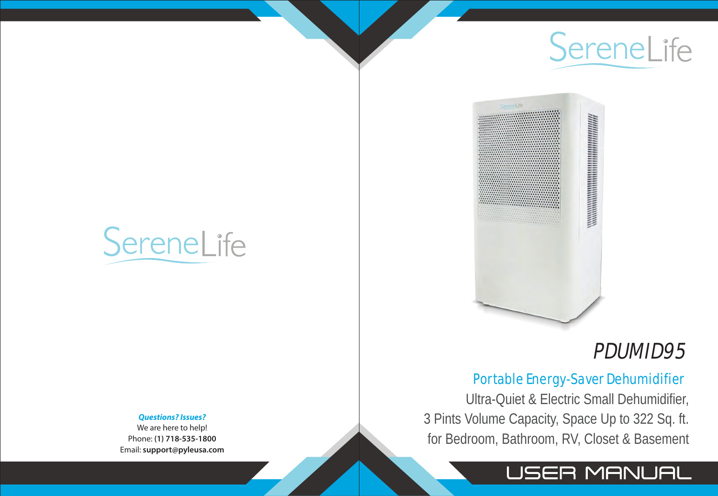Ultra-Quiet & Electric Small Dehumidifier, 3 Pints Volume Capacity, Space Up to 322 Sq. ft. for Bedroom, Bathroom, RV, Closet & Basement



SereneLife

# SereneLife



## PDUMID95

### USER MANUAL

### Portable Energy-Saver Dehumidifier



#### *Questions? Issues?*

We are here to help! Phone: **(1) 718-535-1800** Email: **support@pyleusa.com**